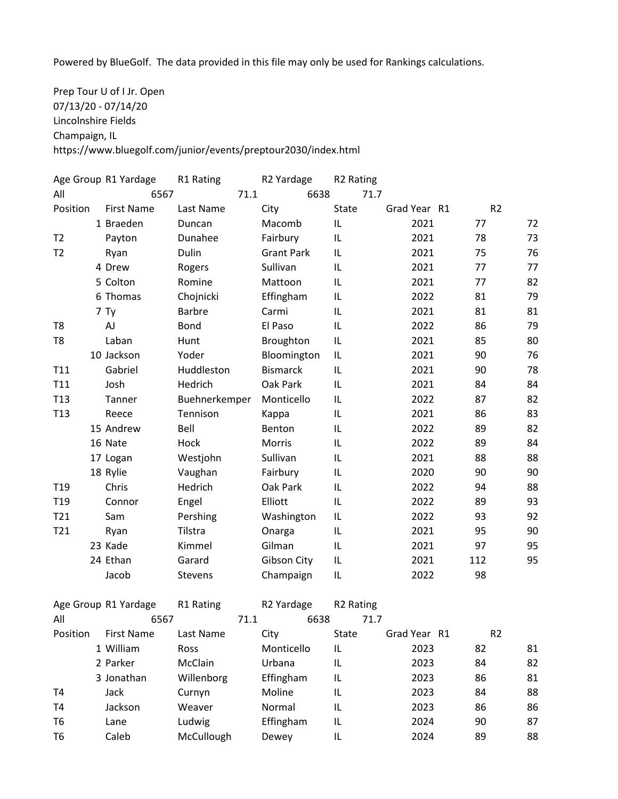Powered by BlueGolf. The data provided in this file may only be used for Rankings calculations.

Prep Tour U of I Jr. Open 07/13/20 - 07/14/20 Lincolnshire Fields Champaign, IL https://www.bluegolf.com/junior/events/preptour2030/index.html

|                 | Age Group R1 Yardage | R1 Rating     | R2 Yardage        |      | R <sub>2</sub> Rating |      |              |     |                |    |
|-----------------|----------------------|---------------|-------------------|------|-----------------------|------|--------------|-----|----------------|----|
| All             | 6567                 | 71.1          |                   | 6638 |                       | 71.7 |              |     |                |    |
| Position        | <b>First Name</b>    | Last Name     | City              |      | <b>State</b>          |      | Grad Year R1 |     | R <sub>2</sub> |    |
|                 | 1 Braeden            | Duncan        | Macomb            |      | IL                    |      | 2021         | 77  |                | 72 |
| T <sub>2</sub>  | Payton               | Dunahee       | Fairbury          |      | IL                    |      | 2021         | 78  |                | 73 |
| T <sub>2</sub>  | Ryan                 | Dulin         | <b>Grant Park</b> |      | IL                    |      | 2021         | 75  |                | 76 |
|                 | 4 Drew               | Rogers        | Sullivan          |      | IL                    |      | 2021         | 77  |                | 77 |
|                 | 5 Colton             | Romine        | Mattoon           |      | IL                    |      | 2021         | 77  |                | 82 |
|                 | 6 Thomas             | Chojnicki     | Effingham         |      | IL                    |      | 2022         | 81  |                | 79 |
|                 | 7 Ty                 | <b>Barbre</b> | Carmi             |      | IL                    |      | 2021         | 81  |                | 81 |
| T <sub>8</sub>  | AJ                   | <b>Bond</b>   | El Paso           |      | IL                    |      | 2022         | 86  |                | 79 |
| T <sub>8</sub>  | Laban                | Hunt          | Broughton         |      | IL                    |      | 2021         | 85  |                | 80 |
|                 | 10 Jackson           | Yoder         | Bloomington       |      | IL                    |      | 2021         | 90  |                | 76 |
| T11             | Gabriel              | Huddleston    | <b>Bismarck</b>   |      | IL                    |      | 2021         | 90  |                | 78 |
| T11             | Josh                 | Hedrich       | Oak Park          |      | IL                    |      | 2021         | 84  |                | 84 |
| T <sub>13</sub> | Tanner               | Buehnerkemper | Monticello        |      | IL                    |      | 2022         | 87  |                | 82 |
| T <sub>13</sub> | Reece                | Tennison      | Kappa             |      | IL                    |      | 2021         | 86  |                | 83 |
|                 | 15 Andrew            | Bell          | Benton            |      | IL                    |      | 2022         | 89  |                | 82 |
|                 | 16 Nate              | Hock          | Morris            |      | IL                    |      | 2022         | 89  |                | 84 |
|                 | 17 Logan             | Westjohn      | Sullivan          |      | IL                    |      | 2021         | 88  |                | 88 |
|                 | 18 Rylie             | Vaughan       | Fairbury          |      | IL                    |      | 2020         | 90  |                | 90 |
| T <sub>19</sub> | Chris                | Hedrich       | Oak Park          |      | IL                    |      | 2022         | 94  |                | 88 |
| T <sub>19</sub> | Connor               | Engel         | Elliott           |      | IL                    |      | 2022         | 89  |                | 93 |
| T21             | Sam                  | Pershing      | Washington        |      | IL                    |      | 2022         | 93  |                | 92 |
| T21             | Ryan                 | Tilstra       | Onarga            |      | IL                    |      | 2021         | 95  |                | 90 |
|                 | 23 Kade              | Kimmel        | Gilman            |      | IL                    |      | 2021         | 97  |                | 95 |
|                 | 24 Ethan             | Garard        | Gibson City       |      | IL                    |      | 2021         | 112 |                | 95 |
|                 | Jacob                | Stevens       | Champaign         |      | IL                    |      | 2022         | 98  |                |    |
|                 |                      |               |                   |      |                       |      |              |     |                |    |
|                 | Age Group R1 Yardage | R1 Rating     | R2 Yardage        |      | R <sub>2</sub> Rating |      |              |     |                |    |
| All             | 6567                 | 71.1          |                   | 6638 |                       | 71.7 |              |     |                |    |
| Position        | <b>First Name</b>    | Last Name     | City              |      | State                 |      | Grad Year R1 |     | R <sub>2</sub> |    |
|                 | 1 William            | Ross          | Monticello        |      | IL                    |      | 2023         | 82  |                | 81 |
|                 | 2 Parker             | McClain       | Urbana            |      | IL                    |      | 2023         | 84  |                | 82 |
|                 | 3 Jonathan           | Willenborg    | Effingham         |      | IL                    |      | 2023         | 86  |                | 81 |
| T <sub>4</sub>  | Jack                 | Curnyn        | Moline            |      | IL                    |      | 2023         | 84  |                | 88 |
| T <sub>4</sub>  | Jackson              | Weaver        | Normal            |      | IL                    |      | 2023         | 86  |                | 86 |
| T <sub>6</sub>  | Lane                 | Ludwig        | Effingham         |      | IL                    |      | 2024         | 90  |                | 87 |
| T <sub>6</sub>  | Caleb                | McCullough    | Dewey             |      | IL                    |      | 2024         | 89  |                | 88 |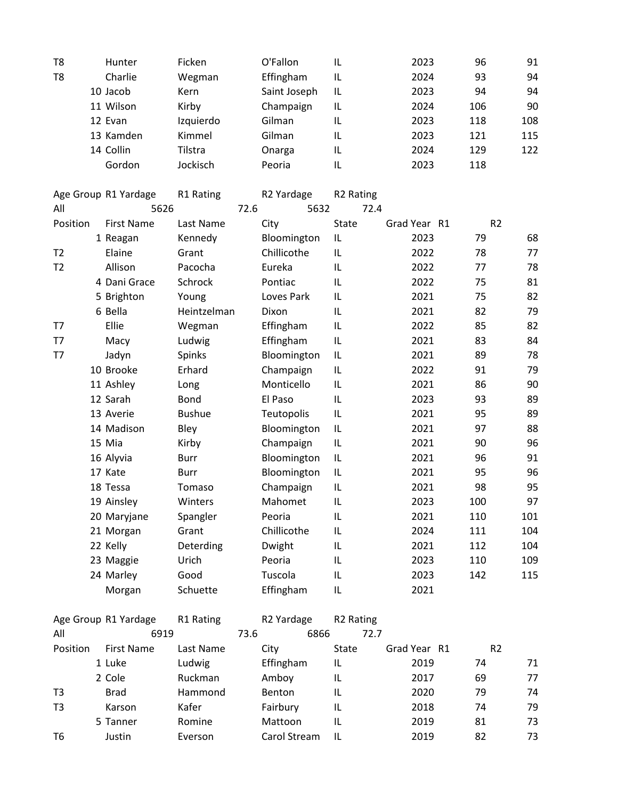| T <sub>8</sub> | Hunter                | Ficken               |      | O'Fallon          | IL                                      | 2023         | 96             | 91       |
|----------------|-----------------------|----------------------|------|-------------------|-----------------------------------------|--------------|----------------|----------|
| T <sub>8</sub> | Charlie               | Wegman               |      | Effingham         | $\ensuremath{\mathsf{IL}}\xspace$       | 2024         | 93             | 94       |
|                | 10 Jacob              | Kern                 |      | Saint Joseph      | $\ensuremath{\mathsf{IL}}\xspace$       | 2023         | 94             | 94       |
|                | 11 Wilson             | Kirby                |      | Champaign         | IL                                      | 2024         | 106            | 90       |
|                | 12 Evan               | Izquierdo            |      | Gilman            | IL                                      | 2023         | 118            | 108      |
|                | 13 Kamden             | Kimmel               |      | Gilman            | IL                                      | 2023         | 121            | 115      |
|                | 14 Collin             | Tilstra              |      | Onarga            | $\ensuremath{\mathsf{IL}}\xspace$       | 2024         | 129            | 122      |
|                | Gordon                | Jockisch             |      | Peoria            | IL                                      | 2023         | 118            |          |
|                |                       |                      |      |                   |                                         |              |                |          |
|                | Age Group R1 Yardage  | R1 Rating            |      | R2 Yardage        | R <sub>2</sub> Rating                   |              |                |          |
| All            | 5626                  |                      | 72.6 | 5632              | 72.4                                    |              |                |          |
| Position       | <b>First Name</b>     | Last Name            |      | City              | <b>State</b>                            | Grad Year R1 | R <sub>2</sub> |          |
|                | 1 Reagan              | Kennedy              |      | Bloomington       | $\ensuremath{\mathsf{IL}}\xspace$       | 2023         | 79             | 68       |
| T <sub>2</sub> | Elaine<br>Allison     | Grant                |      | Chillicothe       | IL                                      | 2022         | 78<br>77       | 77       |
| T <sub>2</sub> | 4 Dani Grace          | Pacocha<br>Schrock   |      | Eureka<br>Pontiac | IL<br>$\ensuremath{\mathsf{IL}}\xspace$ | 2022<br>2022 | 75             | 78<br>81 |
|                |                       |                      |      | Loves Park        | IL                                      | 2021         | 75             | 82       |
|                | 5 Brighton<br>6 Bella | Young<br>Heintzelman |      |                   |                                         |              | 82             | 79       |
|                | Ellie                 |                      |      | Dixon             | IL                                      | 2021         |                | 82       |
| T7             |                       | Wegman               |      | Effingham         | $\ensuremath{\mathsf{IL}}\xspace$       | 2022         | 85             |          |
| T7             | Macy                  | Ludwig               |      | Effingham         | $\sf IL$                                | 2021         | 83             | 84       |
| T7             | Jadyn                 | Spinks               |      | Bloomington       | $\sf IL$                                | 2021         | 89             | 78       |
|                | 10 Brooke             | Erhard               |      | Champaign         | IL                                      | 2022         | 91             | 79       |
|                | 11 Ashley             | Long                 |      | Monticello        | IL                                      | 2021         | 86             | 90       |
|                | 12 Sarah              | <b>Bond</b>          |      | El Paso           | IL                                      | 2023         | 93             | 89       |
|                | 13 Averie             | <b>Bushue</b>        |      | Teutopolis        | $\ensuremath{\mathsf{IL}}\xspace$       | 2021         | 95             | 89       |
|                | 14 Madison            | Bley                 |      | Bloomington       | $\ensuremath{\mathsf{IL}}\xspace$       | 2021         | 97             | 88       |
|                | 15 Mia                | Kirby                |      | Champaign         | $\ensuremath{\mathsf{IL}}\xspace$       | 2021         | 90             | 96       |
|                | 16 Alyvia             | Burr                 |      | Bloomington       | $\sf IL$                                | 2021         | 96             | 91       |
|                | 17 Kate               | <b>Burr</b>          |      | Bloomington       | $\ensuremath{\mathsf{IL}}\xspace$       | 2021         | 95             | 96       |
|                | 18 Tessa              | Tomaso               |      | Champaign         | IL                                      | 2021         | 98             | 95       |
|                | 19 Ainsley            | Winters              |      | Mahomet           | IL                                      | 2023         | 100            | 97       |
|                | 20 Maryjane           | Spangler             |      | Peoria            | IL                                      | 2021         | 110            | 101      |
|                | 21 Morgan             | Grant                |      | Chillicothe       | $\ensuremath{\mathsf{IL}}\xspace$       | 2024         | 111            | 104      |
|                | 22 Kelly              | Deterding            |      | Dwight            | IL                                      | 2021         | 112            | 104      |
|                | 23 Maggie             | Urich                |      | Peoria            | IL                                      | 2023         | 110            | 109      |
|                | 24 Marley             | Good                 |      | Tuscola           | IL                                      | 2023         | 142            | 115      |
|                | Morgan                | Schuette             |      | Effingham         | IL                                      | 2021         |                |          |
|                | Age Group R1 Yardage  | R1 Rating            |      | R2 Yardage        | R <sub>2</sub> Rating                   |              |                |          |
| All            | 6919                  |                      | 73.6 | 6866              | 72.7                                    |              |                |          |
| Position       | <b>First Name</b>     | Last Name            |      | City              | State                                   | Grad Year R1 | R <sub>2</sub> |          |
|                | 1 Luke                | Ludwig               |      | Effingham         | IL                                      | 2019         | 74             | 71       |
|                | 2 Cole                | Ruckman              |      | Amboy             | IL                                      | 2017         | 69             | 77       |
| T <sub>3</sub> | <b>Brad</b>           | Hammond              |      | Benton            | IL                                      | 2020         | 79             | 74       |
| T <sub>3</sub> | Karson                | Kafer                |      | Fairbury          | IL                                      | 2018         | 74             | 79       |
|                | 5 Tanner              | Romine               |      | Mattoon           | IL                                      | 2019         | 81             | 73       |
| T <sub>6</sub> | Justin                | Everson              |      | Carol Stream      | IL                                      | 2019         | 82             | 73       |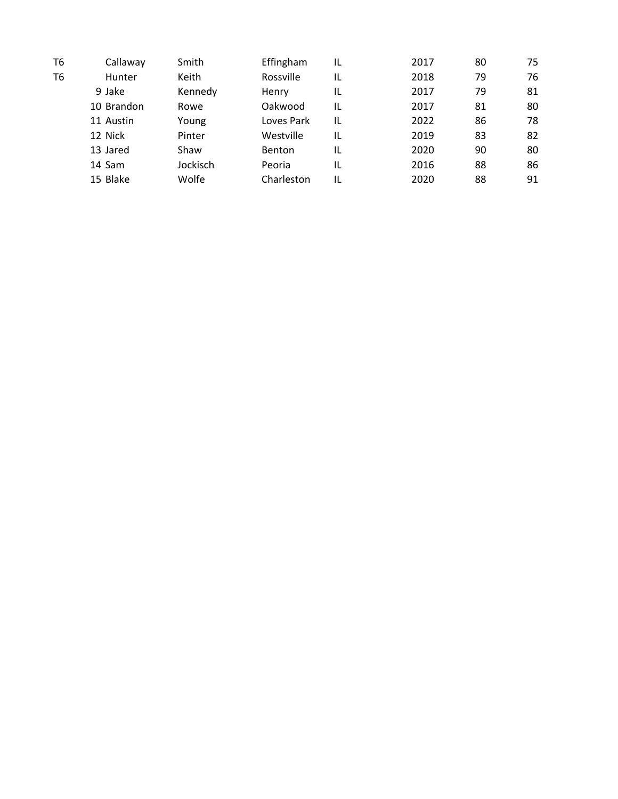| Т6 | Callaway   | Smith    | Effingham    | IL | 2017 | 80 | 75 |
|----|------------|----------|--------------|----|------|----|----|
| T6 | Hunter     | Keith    | Rossville    | IL | 2018 | 79 | 76 |
|    | 9 Jake     | Kennedy  | <b>Henry</b> | IL | 2017 | 79 | 81 |
|    | 10 Brandon | Rowe     | Oakwood      | IL | 2017 | 81 | 80 |
|    | 11 Austin  | Young    | Loves Park   | IL | 2022 | 86 | 78 |
|    | 12 Nick    | Pinter   | Westville    | IL | 2019 | 83 | 82 |
|    | 13 Jared   | Shaw     | Benton       | IL | 2020 | 90 | 80 |
|    | 14 Sam     | Jockisch | Peoria       | IL | 2016 | 88 | 86 |
|    | 15 Blake   | Wolfe    | Charleston   | IL | 2020 | 88 | 91 |
|    |            |          |              |    |      |    |    |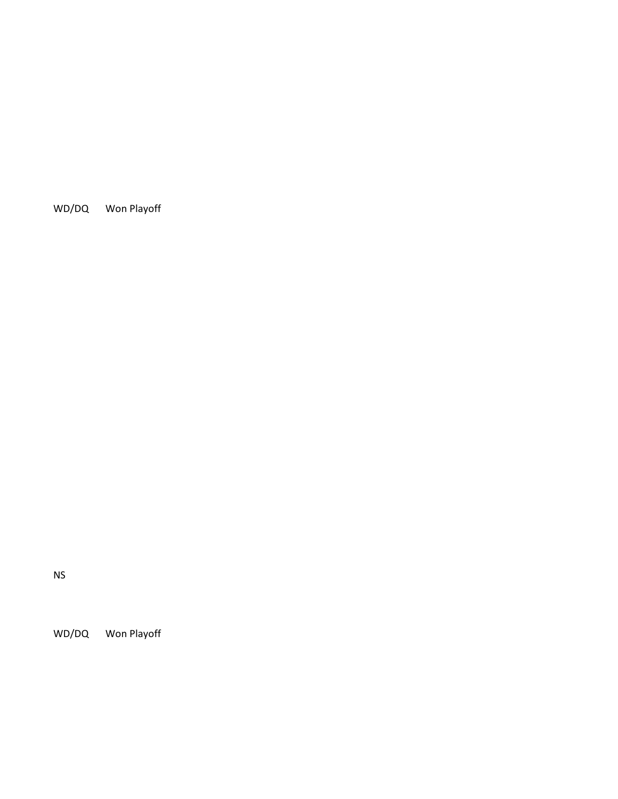WD/DQ Won Playoff

NS

WD/DQ Won Playoff